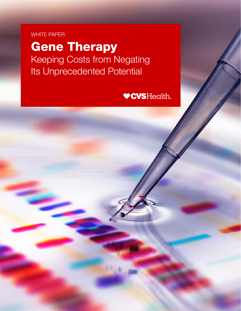# WHITE PAPER

Gene Therapy Keeping Costs from Negating Its Unprecedented Potential

**VCVSHealth.**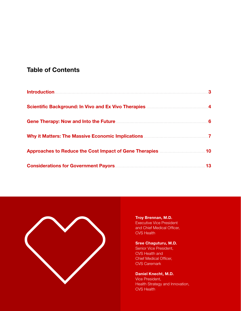## Table of Contents

| <b>Introduction</b>                                                                                                               | 3   |
|-----------------------------------------------------------------------------------------------------------------------------------|-----|
|                                                                                                                                   |     |
|                                                                                                                                   | - 6 |
|                                                                                                                                   |     |
| Approaches to Reduce the Cost Impact of Gene Therapies <b>Exercise 2.1 Approaches</b> to Reduce the Cost Impact of Gene Therapies | 10  |
|                                                                                                                                   | 13  |



[Troy Brennan, M.D.](https://payorsolutions.cvshealth.com/insights/contributors/troy-brennan-md)

Executive Vice President and Chief Medical Officer, CVS Health

### [Sree Chaguturu, M.D.](https://payorsolutions.cvshealth.com/insights/contributors/surya-singh-md)

Senior Vice President, CVS Health and Chief Medical Officer, CVS Caremark

### [Daniel Knecht, M.D.](https://payorsolutions.cvshealth.com/insights/contributors/daniel-knecht)

Vice President, Health Strategy and Innovation, CVS Health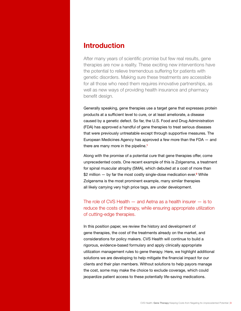## <span id="page-2-0"></span>Introduction

After many years of scientific promise but few real results, gene therapies are now a reality. These exciting new interventions have the potential to relieve tremendous suffering for patients with genetic disorders. Making sure these treatments are accessible for all those who need them requires innovative partnerships, as well as new ways of providing health insurance and pharmacy benefit design.

Generally speaking, gene therapies use a target gene that expresses protein products at a sufficient level to cure, or at least ameliorate, a disease caused by a genetic defect. So far, the U.S. Food and Drug Administration (FDA) has approved a handful of gene therapies to treat serious diseases that were previously untreatable except through supportive measures. The European Medicines Agency has approved a few more than the FDA — and there are many more in the pipeline.<sup>[1](#page-13-0)</sup>

Along with the promise of a potential cure that gene therapies offer, come unprecedented costs. One recent example of this is Zolgensma, a treatment for spinal muscular atrophy (SMA), which debuted at a cost of more than \$[2](#page-13-0) million – by far the most costly single-dose medication ever.<sup>2</sup> While Zolgensma is the most prominent example, many similar therapies all likely carrying very high price tags, are under development.

The role of CVS Health — and Aetna as a health insurer — is to reduce the costs of therapy, while ensuring appropriate utilization of cutting-edge therapies.

In this position paper, we review the history and development of gene therapies, the cost of the treatments already on the market, and considerations for policy makers. CVS Health will continue to build a rigorous, evidence-based formulary and apply clinically appropriate utilization management rules to gene therapy. Here, we highlight additional solutions we are developing to help mitigate the financial impact for our clients and their plan members. Without solutions to help payors manage the cost, some may make the choice to exclude coverage, which could jeopardize patient access to these potentially life-saving medications.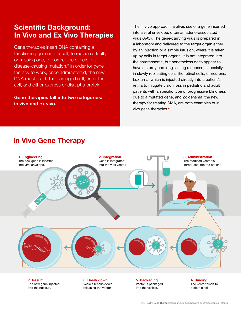# <span id="page-3-0"></span>Scientific Background: In Vivo and Ex Vivo Therapies

Gene therapies insert DNA containing a functioning gene into a cell, to replace a faulty or missing one, to correct the effects of a disease-causing mutation[.3](#page-13-0) In order for gene therapy to work, once administered, the new DNA must reach the damaged cell, enter the cell, and either express or disrupt a protein.

Gene therapies fall into two categories: in vivo and ex vivo.

The in vivo approach involves use of a gene inserted into a viral envelope, often an adeno-associated virus (AAV). The gene-carrying virus is prepared in a laboratory and delivered to the target organ either by an injection or a simple infusion, where it is taken up by cells in target organs. It is not integrated into the chromosome, but nonetheless does appear to have a sturdy and long-lasting response, especially in slowly replicating cells like retinal cells, or neurons. Luxturna, which is injected directly into a patient's retina to mitigate vision loss in pediatric and adult patients with a specific type of progressive blindness due to a mutated gene, and Zolgensma, the new therapy for treating SMA, are both examples of in vivo gene therapies[.](#page-13-0)[4](#page-13-0)

## In Vivo Gene Therapy



7. Result The new gene injected into the nucleus.

6. Break down Vesicle breaks down releasing the vector.

5. Packaging Vector is packaged into the vesicle.

4. Binding The vector binds to patient's cell.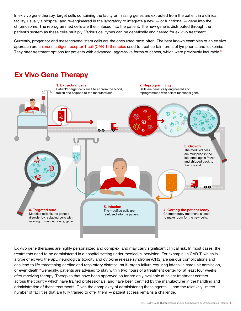In ex vivo gene therapy, target cells containing the faulty or missing genes are extracted from the patient in a clinical facility, usually a hospital, and re-engineered in the laboratory to integrate a new — or functional — gene into the chromosome. The reprogrammed cells are then infused into the patient. The new gene is distributed through the patient's system as these cells multiply. Various cell types can be genetically engineered for ex vivo treatment.

Currently, progenitor and mesenchymal stem cells are the ones used most often. The best known examples of an ex vivo approach are [chimeric antigen receptor T-cell \(CAR-T\) therapies](https://payorsolutions.cvshealth.com/insights/gene-therapies-promising-costly-complex) used to treat certain forms of lymphoma and leukemia. They offer treatment options for patients with advanced, aggressive forms of cancer, which were previously incurable.<sup>[5](#page-13-0)</sup>

# Ex Vivo Gene Therapy



Ex vivo gene therapies are highly personalized and complex, and may carry significant clinical risk. In most cases, the treatments need to be administered in a hospital setting under medical supervision. For example, in CAR-T, which is a type of ex vivo therapy, neurological toxicity and cytokine release syndrome (CRS) are serious complications and can lead to life-threatening cardiac and respiratory distress, multi-organ failure requiring intensive care unit admission, or even death.<sup>6</sup> Generally, patients are advised to stay within two hours of a treatment center for at least four weeks after receiving therapy. Therapies that have been approved so far are only available at select treatment centers across the country which have trained professionals, and have been certified by the manufacturer in the handling and administration of these treatments. Given the complexity of administering these agents — and the relatively limited number of facilities that are fully trained to offer them — patient access remains a challenge.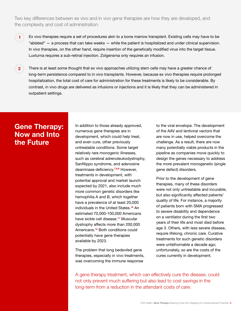Two key differences between ex vivo and in vivo gene therapies are how they are developed, and the complexity and cost of administration.

- Ex vivo therapies require a set of procedures akin to a bone marrow transplant. Existing cells may have to be "ablated" — a process that can take weeks — while the patient is hospitalized and under clinical supervision. In vivo therapies, on the other hand, require insertion of the genetically modified virus into the target tissue. Luxturna requires a sub-retinal injection. Zolgensma only requires an infusion. **1**
- There is at least some thought that ex vivo approaches utilizing stem cells may have a greater chance of long-term persistence compared to in vivo transplants. However, because ex vivo therapies require prolonged hospitalization, the total cost of care for administration for these treatments is likely to be considerable. By contrast, in vivo drugs are delivered as infusions or injections and it is likely that they can be administered in outpatient settings. **2**

## <span id="page-5-0"></span>Gene Therapy: Now and Into the Future

In addition to those already approved, numerous gene therapies are in development, which could help treat, and even cure, other previously untreatable conditions. Some target relatively rare monogenic illnesses, such as cerebral adrenoleukodystrophy, Sanfilippo syndrome, and adenosine deaminase deficiency.<sup>7,8,9</sup> However, treatments in development, with potential approval and market launch expected by 2021, also include much more common genetic disorders like hemophilia A and B, which together have a prevalence of at least 20,000 individuals in the United States.<sup>[10](#page-13-0)</sup> An estimated 70,000-100,000 Americans have sickle cell disease.<sup>[11](#page-13-0)</sup> Muscular dystrophy affects more than 200,000 Americans.[12](#page-13-0) Both conditions could potentially have gene therapies available by 2023.

The problem that long bedeviled gene therapies, especially in vivo treatments, was overcoming the immune response

to the viral envelope. The development of the AAV and lentiviral vectors that are now in use, helped overcome the challenge. As a result, there are now many potentially viable products in the pipeline as companies move quickly to design the genes necessary to address the more prevalent monogenetic (single gene defect) disorders.

Prior to the development of gene therapies, many of these disorders were not only untreatable and incurable, but also significantly affected patients' quality of life. For instance, a majority of patients born with SMA progressed to severe disability and dependence on a ventilator during the first two years of their life and most died before age 3. Others, with less severe disease, require lifelong, chronic care. Curative treatments for such genetic disorders were unfathomable a decade ago; unfortunately, so are the costs of the cures currently in development.

A gene therapy treatment, which can effectively cure the disease, could not only prevent much suffering but also lead to cost savings in the long-term from a reduction in the attendant costs of care.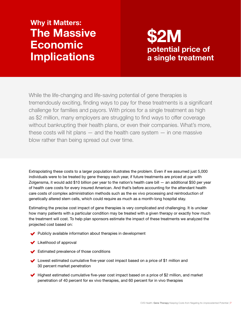# <span id="page-6-0"></span>Why it Matters: The Massive Economic **Implications**

# potential price of a single treatment \$2M

While the life-changing and life-saving potential of gene therapies is tremendously exciting, finding ways to pay for these treatments is a significant challenge for families and payors. With prices for a single treatment as high as \$2 million, many employers are struggling to find ways to offer coverage without bankrupting their health plans, or even their companies. What's more, these costs will hit plans  $-$  and the health care system  $-$  in one massive blow rather than being spread out over time.

Extrapolating these costs to a larger population illustrates the problem. Even if we assumed just 5,000 individuals were to be treated by gene therapy each year, if future treatments are priced at par with Zolgensma, it would add \$10 billion per year to the nation's health care bill — an additional \$50 per year of health care costs for every insured American. And that's before accounting for the attendant health care costs of complex administration methods such as the ex vivo processing and reintroduction of genetically altered stem cells, which could require as much as a month-long hospital stay.

Estimating the precise cost impact of gene therapies is very complicated and challenging. It is unclear how many patients with a particular condition may be treated with a given therapy or exactly how much the treatment will cost. To help plan sponsors estimate the impact of these treatments we analyzed the projected cost based on:

- Publicly available information about therapies in development
- **↓** Likelihood of approval
- Estimated prevalence of those conditions
- Lowest estimated cumulative five-year cost impact based on a price of \$1 million and 30 percent market penetration
- $\blacktriangleright$  Highest estimated cumulative five-year cost impact based on a price of \$2 million, and market penetration of 40 percent for ex vivo therapies, and 60 percent for in vivo therapies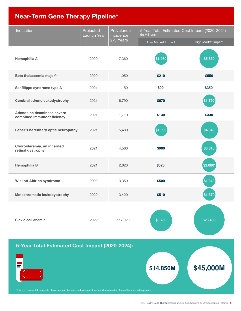# Near-Term Gene Therapy Pipeline\*

| Indication                                                                                                                             | Projected<br><b>Launch Year</b> | Prevalence +<br>Incidence | 5-Year Total Estimated Cost Impact (2020-2024)<br>(In Millions) |                    |  |
|----------------------------------------------------------------------------------------------------------------------------------------|---------------------------------|---------------------------|-----------------------------------------------------------------|--------------------|--|
|                                                                                                                                        |                                 | 2-5 Years                 | Low Market Impact                                               | High Market Impact |  |
| <b>Hemophilia A</b>                                                                                                                    | 2020                            | 7,360                     | \$1,460                                                         | \$5,830            |  |
| Beta-thalassemia major**                                                                                                               | 2020                            | 1,050                     | \$210                                                           | \$550              |  |
| Sanfilippo syndrome type A                                                                                                             | 2021                            | 1,150                     | \$90 <sup>t</sup>                                               | \$350 <sup>+</sup> |  |
| Cerebral adrenoleukodystrophy                                                                                                          | 2021                            | 6,790                     | \$670                                                           | \$1,790            |  |
| Adenosine deaminase severe<br>combined immunodeficiency                                                                                | 2021                            | 1,710                     | \$130                                                           | \$340              |  |
| Leber's hereditary optic neuropathy                                                                                                    | 2021                            | 5,480                     | \$1,090                                                         | \$4,340            |  |
| Choroideremia, an inherited<br>retinal dystrophy                                                                                       | 2021                            | 4,560                     | \$900                                                           | \$3,610            |  |
| <b>Hemophilia B</b>                                                                                                                    | 2021                            | 2,620                     | \$520 <sup>t</sup>                                              | \$2,080            |  |
| <b>Wiskott Aldrich syndrome</b>                                                                                                        | 2022                            | 3,350                     | \$500                                                           | \$1,340            |  |
| <b>Metachromatic leukodystrophy</b>                                                                                                    | 2022                            | 3,420                     | \$510                                                           | \$1,370            |  |
| Sickle cell anemia                                                                                                                     | 2022                            | 117,020                   | \$8,780                                                         | \$23,400           |  |
| 5-Year Total Estimated Cost Impact (2020-2024):                                                                                        |                                 |                           |                                                                 |                    |  |
|                                                                                                                                        |                                 |                           | \$14,850M                                                       | \$45,000M          |  |
| *This is a representative sample of monogenetic therapies in development, not an all-inclusive list of gene therapies in the pipeline. |                                 |                           |                                                                 |                    |  |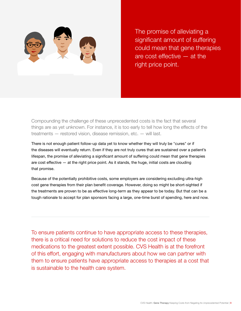

The promise of alleviating a significant amount of suffering could mean that gene therapies are cost effective — at the right price point.

Compounding the challenge of these unprecedented costs is the fact that several things are as yet unknown. For instance, it is too early to tell how long the effects of the treatments — restored vision, disease remission, etc. — will last.

There is not enough patient follow-up data yet to know whether they will truly be "cures" or if the diseases will eventually return. Even if they are not truly cures that are sustained over a patient's lifespan, the promise of alleviating a significant amount of suffering could mean that gene therapies are cost effective — at the right price point. As it stands, the huge, initial costs are clouding that promise.

Because of the potentially prohibitive costs, some employers are considering excluding ultra-high cost gene therapies from their plan benefit coverage. However, doing so might be short-sighted if the treatments are proven to be as effective long-term as they appear to be today. But that can be a tough rationale to accept for plan sponsors facing a large, one-time burst of spending, here and now.

To ensure patients continue to have appropriate access to these therapies, there is a critical need for solutions to reduce the cost impact of these medications to the greatest extent possible. CVS Health is at the forefront of this effort, engaging with manufacturers about how we can partner with them to ensure patients have appropriate access to therapies at a cost that is sustainable to the health care system.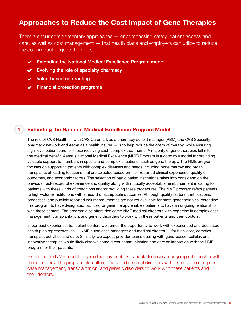## <span id="page-9-0"></span>Approaches to Reduce the Cost Impact of Gene Therapies

There are four complementary approaches — encompassing safety, patient access and care, as well as cost management — that health plans and employers can utilize to reduce the cost impact of gene therapies:

- ◆ Extending the National Medical Excellence Program model
- $\vee$  Evolving the role of specialty pharmacy
- Value-based contracting

**1**

 $\blacktriangleright$  Financial protection programs

## Extending the National Medical Excellence Program Model

The role of CVS Health — with CVS Caremark as a pharmacy benefit manager (PBM), the CVS Specialty pharmacy network and Aetna as a health insurer  $-$  is to help reduce the costs of therapy, while ensuring high-level patient care for those receiving such complex treatments. A majority of gene therapies fall into the medical benefit. Aetna's National Medical Excellence (NME) Program is a good role model for providing valuable support to members in special and complex situations, such as gene therapy. The NME program focuses on supporting patients with complex diseases and needs including bone marrow and organ transplants at leading locations that are selected based on their reported clinical experience, quality of outcomes, and economic factors. The selection of participating institutions takes into consideration the previous track record of experience and quality along with mutually acceptable reimbursement in caring for patients with these kinds of conditions and/or providing these procedures. The NME program refers patients to high-volume institutions with a record of acceptable outcomes. Although quality factors, certifications, processes, and publicly reported volumes/outcomes are not yet available for most gene therapies, extending this program to have designated facilities for gene therapy enables patients to have an ongoing relationship with these centers. The program also offers dedicated NME medical directors with expertise in complex case management, transplantation, and genetic disorders to work with these patients and their doctors.

In our past experience, transplant centers welcomed the opportunity to work with experienced and dedicated health plan representatives — NME nurse case managers and medical director — for high-cost, complex transplant activities and care. Similarly, we expect provider teams dealing with gene-based, cellular, and innovative therapies would likely also welcome direct communication and care collaboration with the NME program for their patients.

Extending an NME model to gene therapy enables patients to have an ongoing relationship with these centers. The program also offers dedicated medical directors with expertise in complex case management, transplantation, and genetic disorders to work with these patients and their doctors.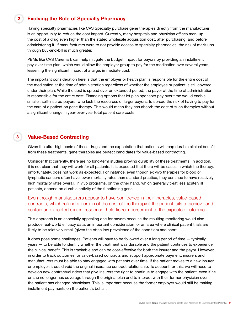#### Evolving the Role of Specialty Pharmacy **2**

Having specialty pharmacies like CVS Specialty purchase gene therapies directly from the manufacturer is an opportunity to reduce the cost impact. Currently, many hospitals and physician offices mark up the cost of a drug even higher than the stated wholesale acquisition cost, after purchasing, and before administering it. If manufacturers were to not provide access to specialty pharmacies, the risk of mark-ups through buy-and-bill is much greater.

PBMs like CVS Caremark can help mitigate the budget impact for payors by providing an installment pay-over-time plan, which would allow the employer group to pay for the medication over several years, lessening the significant impact of a large, immediate cost.

The important consideration here is that the employer or health plan is responsible for the entire cost of the medication at the time of administration regardless of whether the employee or patient is still covered under their plan. While the cost is spread over an extended period, the payor at the time of administration is responsible for the entire cost. Financing options that let plan sponsors pay over time would enable smaller, self-insured payors, who lack the resources of larger payors, to spread the risk of having to pay for the care of a patient on gene therapy. This would mean they can absorb the cost of such therapies without a significant change in year-over-year total patient care costs.

#### Value-Based Contracting **3**

Given the ultra-high costs of these drugs and the expectation that patients will reap durable clinical benefit from these treatments, gene therapies are perfect candidates for value-based contracting.

Consider that currently, there are no long-term studies proving durability of these treatments. In addition, it is not clear that they will work for all patients. It is expected that there will be cases in which the therapy, unfortunately, does not work as expected. For instance, even though ex vivo therapies for blood or lymphatic cancers often have lower mortality rates than standard practice, they continue to have relatively high mortality rates overall. In vivo programs, on the other hand, which generally treat less acutely ill patients, depend on durable activity of the functioning gene.

## Even though manufacturers appear to have confidence in their therapies, value-based contracts, which refund a portion of the cost of the therapy if the patient fails to achieve and sustain an expected clinical response, help tie reimbursement to the expected outcome.

This approach is an especially appealing one for payors because the resulting monitoring would also produce real-world efficacy data, an important consideration for an area where clinical patient trials are likely to be relatively small (given the often low prevalence of the condition) and short.

It does pose some challenges. Patients will have to be followed over a long period of time — typically years — to be able to identify whether the treatment was durable and the patient continues to experience the clinical benefit. This is trackable and can be cost-effective for both the insurer and the payor. However, in order to track outcomes for value-based contracts and support appropriate payment, insurers and manufacturers must be able to stay engaged with patients over time. If the patient moves to a new insurer or employer, it could void the original insurance contract relationship. To account for this, we will need to develop new contractual riders that give insurers the right to continue to engage with the patient, even if he or she no longer has coverage through the original plan and to interact with their former physician even if the patient has changed physicians. This is important because the former employer would still be making installment payments on the patient's behalf.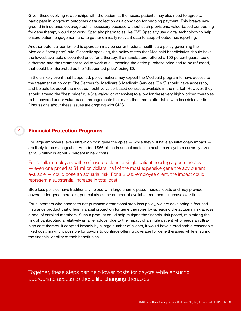Given these evolving relationships with the patient at the nexus, patients may also need to agree to participate in long-term outcomes data collection as a condition for ongoing payment. This breaks new ground in insurance coverage but is necessary because without such provisions, value-based contracting for gene therapy would not work. Specialty pharmacies like CVS Specialty use digital technology to help ensure patient engagement and to gather clinically relevant data to support outcomes reporting.

Another potential barrier to this approach may be current federal health care policy governing the Medicaid "best price" rule. Generally speaking, the policy states that Medicaid beneficiaries should have the lowest available discounted price for a therapy. If a manufacturer offered a 100 percent guarantee on a therapy, and the treatment failed to work at all, meaning the entire purchase price had to be refunded, that could be interpreted as the "discounted price" being \$0.

In the unlikely event that happened, policy makers may expect the Medicaid program to have access to the treatment at no cost. The Centers for Medicare & Medicaid Services (CMS) should have access to, and be able to, adopt the most competitive value-based contracts available in the market. However, they should amend the "best price" rule (via waiver or otherwise) to allow for these very highly priced therapies to be covered under value-based arrangements that make them more affordable with less risk over time. Discussions about these issues are ongoing with CMS.

## **4** Financial Protection Programs

For large employers, even ultra-high cost gene therapies — while they will have an inflationary impact are likely to be manageable. An added \$66 billion in annual costs in a health care system currently sized at \$3.5 trillion is about 2 percent in new costs.

For smaller employers with self-insured plans, a single patient needing a gene therapy — even one priced at \$1 mllion dollars, half of the most expensive gene therapy current available — could pose an actuarial risk. For a 2,000-employee client, the impact could represent a substantial increase in total cost.

Stop loss policies have traditionally helped with large unanticipated medical costs and may provide coverage for gene therapies, particularly as the number of available treatments increase over time.

For customers who choose to not purchase a traditional stop loss policy, we are developing a focused insurance product that offers financial protection for gene therapies by spreading the actuarial risk across a pool of enrolled members. Such a product could help mitigate the financial risk posed, minimizing the risk of bankrupting a relatively small employer due to the impact of a single patient who needs an ultrahigh cost therapy. If adopted broadly by a large number of clients, it would have a predictable reasonable fixed cost, making it possible for payors to continue offering coverage for gene therapies while ensuring the financial viability of their benefit plan.

Together, these steps can help lower costs for payors while ensuring appropriate access to these life-changing therapies.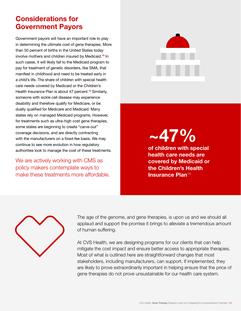# <span id="page-12-0"></span>Considerations for Government Payors

Government payors will have an important role to play in determining the ultimate cost of gene therapies. More than 50 percent of births in the United States today involve mothers and children insured by Medicaid.<sup>[1](#page-13-0)3</sup> In such cases, it will likely fall to the Medicaid program to pay for treatment of genetic disorders, like SMA, that manifest in childhood and need to be treated early in a child's life. The share of children with special health care needs covered by Medicaid or the Children's Health Insurance Plan is about 47 percent.<sup>[1](#page-13-0)4</sup> Similarly, someone with sickle cell disease may experience disability and therefore qualify for Medicare, or be dually qualified for Medicare and Medicaid. Many states rely on managed Medicaid programs. However, for treatments such as ultra-high cost gene therapies, some states are beginning to create "carve-out" coverage decisions, and are directly contracting with the manufacturers on a fixed-fee basis. We may continue to see more evolution in how regulatory authorities look to manage the cost of these treatments.

We are actively working with CMS as policy makers contemplate ways to make these treatments more affordable.



 $-47\%$ 

of children with special health care needs are covered by Medicaid or the Children's Health Insurance Plan<sup>[1](#page-13-0)4</sup>



The age of the genome, and gene therapies, is upon us and we should all applaud and support the promise it brings to alleviate a tremendous amount of human suffering.

At CVS Health, we are designing programs for our clients that can help mitigate the cost impact and ensure better access to appropriate therapies. Most of what is outlined here are straightforward changes that most stakeholders, including manufacturers, can support. If implemented, they are likely to prove extraordinarily important in helping ensure that the price of gene therapies do not prove unsustainable for our health care system.